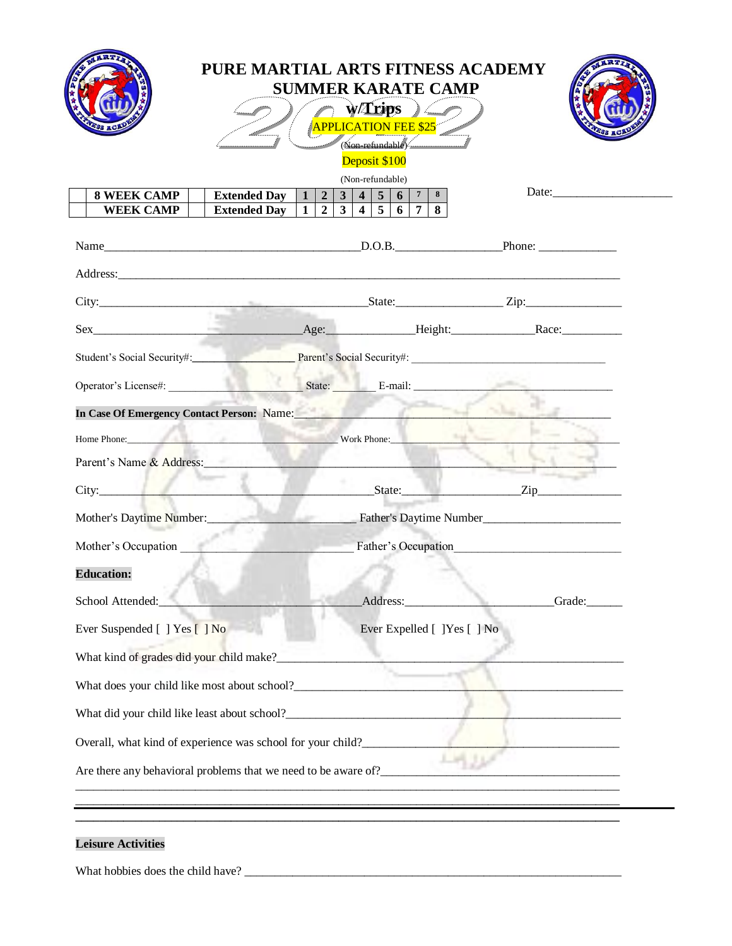| PURE MARTIAL ARTS FITNESS ACADEMY<br><b>SUMMER KARATE CAMP</b><br>$\hookrightarrow$ ) (<br>$\sim$ w/Trips $\sim$<br>APPLICATION FEE \$25<br>Non-refundable<br>Deposit \$100                                                         |  |                  |                                                                                                                |           |        |
|-------------------------------------------------------------------------------------------------------------------------------------------------------------------------------------------------------------------------------------|--|------------------|----------------------------------------------------------------------------------------------------------------|-----------|--------|
|                                                                                                                                                                                                                                     |  | (Non-refundable) |                                                                                                                |           |        |
| <b>Extended Day</b>   1   2   3   4   5   6   7   8  <br><b>8 WEEK CAMP</b><br>Extended Day $\boxed{1}$ $\boxed{2}$ $\boxed{3}$ $\boxed{4}$ $\boxed{5}$ $\boxed{6}$ $\boxed{7}$ $\boxed{8}$<br><b>WEEK CAMP</b>                     |  |                  |                                                                                                                |           | Date:  |
|                                                                                                                                                                                                                                     |  |                  |                                                                                                                |           |        |
|                                                                                                                                                                                                                                     |  |                  |                                                                                                                |           |        |
|                                                                                                                                                                                                                                     |  |                  |                                                                                                                |           |        |
|                                                                                                                                                                                                                                     |  |                  |                                                                                                                |           |        |
|                                                                                                                                                                                                                                     |  |                  |                                                                                                                |           |        |
|                                                                                                                                                                                                                                     |  |                  |                                                                                                                |           |        |
|                                                                                                                                                                                                                                     |  |                  |                                                                                                                |           |        |
| In Case Of Emergency Contact Person: Name:                                                                                                                                                                                          |  |                  |                                                                                                                | The color |        |
| <b>Home Phone:</b> Work Phone: Work Phone: North Phone: North Phone: North Phone: North Phone: North Phone: North Phone: North Phone: North Phone: North Phone: North Phone: North Phone: North Phone: North Phone: North Phone: No |  |                  |                                                                                                                |           |        |
| Parent's Name & Address:                                                                                                                                                                                                            |  |                  | the contract of the contract of the contract of the contract of the contract of                                |           |        |
| City: <u>State:</u> State: Zip                                                                                                                                                                                                      |  |                  |                                                                                                                |           |        |
| Mother's Daytime Number:<br>Father's Daytime Number<br>Father's Daytime Number                                                                                                                                                      |  |                  |                                                                                                                |           |        |
| Mother's Occupation Father's Occupation                                                                                                                                                                                             |  |                  |                                                                                                                |           |        |
| <b>Education:</b>                                                                                                                                                                                                                   |  |                  |                                                                                                                |           |        |
| School Attended:                                                                                                                                                                                                                    |  |                  | Address: 1988 and 1988 and 1989 and 1989 and 1989 and 1989 and 1989 and 1989 and 1989 and 1989 and 1989 and 19 |           | Grade: |
|                                                                                                                                                                                                                                     |  |                  |                                                                                                                |           |        |
| Ever Suspended [ ] Yes [ ] No                                                                                                                                                                                                       |  |                  | Ever Expelled [ ]Yes [ ] No                                                                                    |           |        |
| What kind of grades did your child make?_                                                                                                                                                                                           |  |                  |                                                                                                                |           |        |
|                                                                                                                                                                                                                                     |  |                  |                                                                                                                |           |        |
|                                                                                                                                                                                                                                     |  |                  |                                                                                                                |           |        |
| Overall, what kind of experience was school for your child?                                                                                                                                                                         |  |                  |                                                                                                                |           |        |
|                                                                                                                                                                                                                                     |  |                  |                                                                                                                |           |        |

## **Leisure Activities**

What hobbies does the child have? \_\_\_\_\_\_\_\_\_\_\_\_\_\_\_\_\_\_\_\_\_\_\_\_\_\_\_\_\_\_\_\_\_\_\_\_\_\_\_\_\_\_\_\_\_\_\_\_\_\_\_\_\_\_\_\_\_\_\_\_\_\_\_